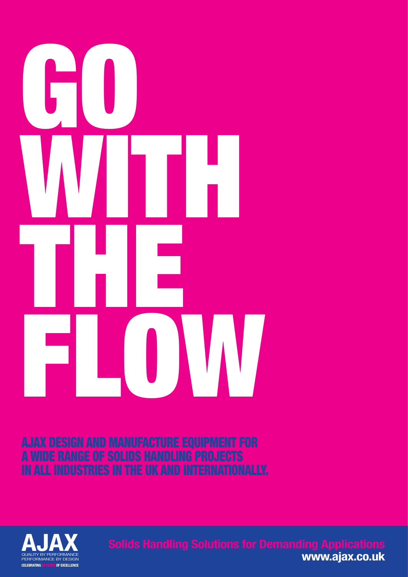

AJAX DESIGN AND MANUFACTURE EQUIPMENT FOR A WIDE RANGE OF SOLIDS HANDLING PROJECTS IN ALL INDUSTRIES IN THE UK AND INTERNATIONALLY.

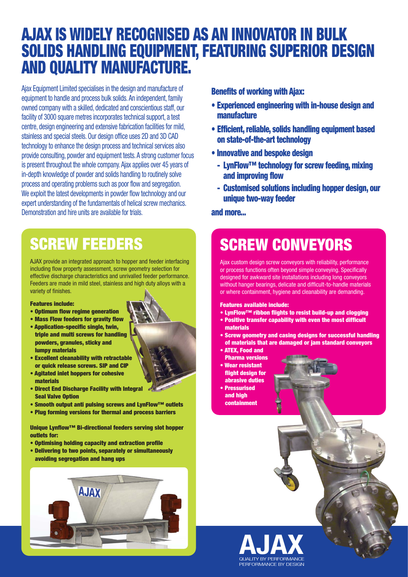## AJAX IS WIDELY RECOGNISED AS AN INNOVATOR IN BULK SOLIDS HANDLING EQUIPMENT, FEATURING SUPERIOR DESIGN AND QUALITY MANUFACTURE.

Ajax Equipment Limited specialises in the design and manufacture of equipment to handle and process bulk solids. An independent, family owned company with a skilled, dedicated and conscientious staff, our facility of 3000 square metres incorporates technical support, a test centre, design engineering and extensive fabrication facilities for mild, stainless and special steels. Our design office uses 2D and 3D CAD technology to enhance the design process and technical services also provide consulting, powder and equipment tests. A strong customer focus is present throughout the whole company. Ajax applies over 45 years of in-depth knowledge of powder and solids handling to routinely solve process and operating problems such as poor flow and segregation. We exploit the latest developments in powder flow technology and our expert understanding of the fundamentals of helical screw mechanics. Demonstration and hire units are available for trials.

# SCREW FEEDERS

AJAX provide an integrated approach to hopper and feeder interfacing including flow property assessment, screw geometry selection for effective discharge characteristics and unrivalled feeder performance. Feeders are made in mild steel, stainless and high duty alloys with a variety of finishes.

#### Features include:

- Optimum flow regime generation
- Mass Flow feeders for gravity flow
- Application-specific single, twin, triple and multi screws for handling powders, granules, sticky and lumpy materials
- Excellent cleanability with retractable or quick release screws. SIP and CIP
- Agitated inlet hoppers for cohesive materials
- Direct End Discharge Facility with Integral Seal Valve Option
- Smooth output anti pulsing screws and LynFlow™ outlets
- Plug forming versions for thermal and process barriers

Unique Lynflow™ Bi-directional feeders serving slot hopper outlets for:

- Optimising holding capacity and extraction profile
- Delivering to two points, separately or simultaneously avoiding segregation and hang ups



#### Benefits of working with Ajax:

- Experienced engineering with in-house design and manufacture
- Efficient, reliable, solids handling equipment based on state-of-the-art technology
- Innovative and bespoke design
	- LynFlow™ technology for screw feeding, mixing and improving flow
	- Customised solutions including hopper design, our unique two-way feeder

and more...

# SCREW CONVEYORS

Ajax custom design screw conveyors with reliability, performance or process functions often beyond simple conveying. Specifically designed for awkward site installations including long conveyors without hanger bearings, delicate and difficult-to-handle materials or where containment, hygiene and cleanability are demanding.

Features available include:

- LynFlow™ ribbon flights to resist build-up and clogging
- Positive transfer capability with even the most difficult materials
- Screw geometry and casing designs for successful handling of materials that are damaged or jam standard conveyors • ATEX, Food and
- Pharma versions
- Wear resistant flight design for abrasive duties • Pressurised
- and high containment

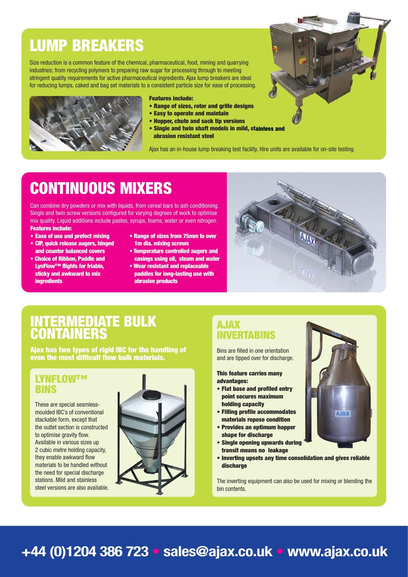## LUMP BREAKERS

Size reduction is a common feature of the chemical, pharmaceutical, food, mining and quarrying industries; from recycling polymers to preparing raw sugar for processing through to meeting stringent quality requirements for active pharmaceutical ingredients. Ajax lump breakers are ideal for reducing lumps, caked and bag set materials to a consistent particle size for ease of processing.



#### Features include:

- Range of sizes, rotor and grille designs
- Easy to operate and maintain
- Hopper, chute and sack tip versions
- Single and twin shaft models in mild, stainless and abrasion resistant steel

Ajax has an in-house lump breaking test facility. Hire units are available for on-site testing.

### CONTINUOUS MIXERS

Can combine dry powders or mix with liquids, from cereal bars to ash conditioning. Single and twin screw versions configured for varying degrees of work to optimise mix quality. Liquid additions include pastes, syrups, foams, water or even nitrogen. Features include:

- Ease of use and prefect mixing
- CIP, quick release augers, hinged and counter balanced covers
- Choice of Ribbon, Paddle and LynFlow™ flights for friable, sticky and awkward to mix **ingredients**
- Range of sizes from 75mm to over 1m dia. mixing screws
- Temperature controlled augers and casings using oil, steam and water
- Wear resistant and replaceable paddles for long-lasting use with abrasive products



### INTERMEDIATE BULK **CONTAINERS**

Ajax has two types of rigid IBC for the handling of even the most difficult flow bulk materials.

#### LYNFLOW™ BINS

These are special seamlessmoulded IBC's of conventional stackable form, except that the outlet section is constructed to optimise gravity flow. Available in various sizes up 2 cubic metre holding capacity, they enable awkward flow materials to be handled without the need for special discharge stations. Mild and stainless steel versions are also available.



#### AJAX INVERTABINS

Bins are filled in one orientation and are tipped over for discharge.

This feature carries many advantages:

- Flat base and profiled entry point secures maximum holding capacity
- Filling profile accommodates materials repose condition
- Provides an optimum hopper shape for discharge
- Single opening upwards during transit means no leakage
- Inverting upsets any time consolidation and gives reliable discharge

The inverting equipment can also be used for mixing or blending the bin contents.



### **+44 (0)1204 386 723** • **sales@ajax.co.uk** • **www.ajax.co.uk**